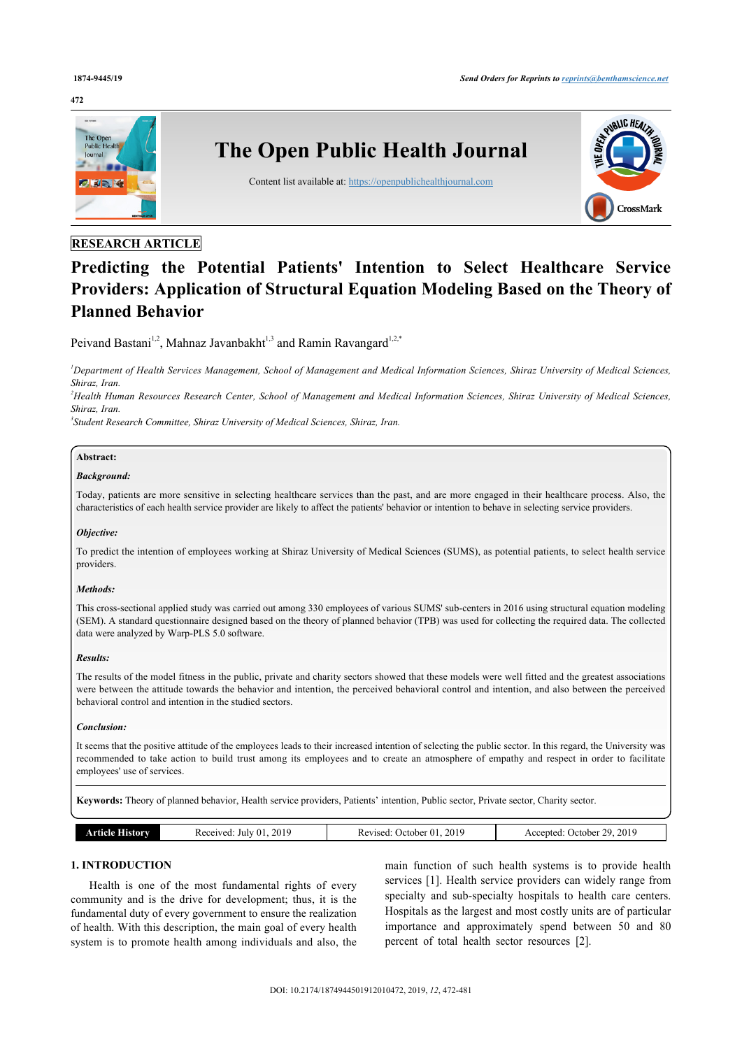## **472**



## **RESEARCH ARTICLE**

# **Predicting the Potential Patients' Intention to Select Healthcare Service Providers: Application of Structural Equation Modeling Based on the Theory of Planned Behavior**

Peivand Bastani<sup>[1](#page-0-0),[2](#page-0-1)</sup>, Mahnaz Javanbakht<sup>[1,](#page-0-0)[3](#page-0-2)</sup> and Ramin Ravangard<sup>1,[2,](#page-0-1)[\\*](#page-1-0)</sup>

<span id="page-0-0"></span>*<sup>1</sup>Department of Health Services Management, School of Management and Medical Information Sciences, Shiraz University of Medical Sciences, Shiraz, Iran.*

<span id="page-0-1"></span>*<sup>2</sup>Health Human Resources Research Center, School of Management and Medical Information Sciences, Shiraz University of Medical Sciences, Shiraz, Iran.*

<span id="page-0-2"></span>*3 Student Research Committee, Shiraz University of Medical Sciences, Shiraz, Iran.*

## **Abstract:**

#### *Background:*

Today, patients are more sensitive in selecting healthcare services than the past, and are more engaged in their healthcare process. Also, the characteristics of each health service provider are likely to affect the patients' behavior or intention to behave in selecting service providers.

#### *Objective:*

To predict the intention of employees working at Shiraz University of Medical Sciences (SUMS), as potential patients, to select health service providers.

## *Methods:*

This cross-sectional applied study was carried out among 330 employees of various SUMS' sub-centers in 2016 using structural equation modeling (SEM). A standard questionnaire designed based on the theory of planned behavior (TPB) was used for collecting the required data. The collected data were analyzed by Warp-PLS 5.0 software.

#### *Results:*

The results of the model fitness in the public, private and charity sectors showed that these models were well fitted and the greatest associations were between the attitude towards the behavior and intention, the perceived behavioral control and intention, and also between the perceived behavioral control and intention in the studied sectors.

### *Conclusion:*

It seems that the positive attitude of the employees leads to their increased intention of selecting the public sector. In this regard, the University was recommended to take action to build trust among its employees and to create an atmosphere of empathy and respect in order to facilitate employees' use of services.

**Keywords:** Theory of planned behavior, Health service providers, Patients' intention, Public sector, Private sector, Charity sector.

| 2019<br>eceived:<br>History<br>July 01<br>rtīcie<br>www.<br>____<br>. | 2019<br>$\sim$<br>October 01.<br>Revised<br>__ | 2019<br><u>วด</u><br>Accepted:<br>. Jetober |
|-----------------------------------------------------------------------|------------------------------------------------|---------------------------------------------|
|-----------------------------------------------------------------------|------------------------------------------------|---------------------------------------------|

## **1. INTRODUCTION**

Health is one of the most fundamental rights of every community and is the drive for development; thus, it is the fundamental duty of every government to ensure the realization of health. With this description, the main goal of every health system is to promote health among individuals and also, the main function of such health systems is to provide health services [[1\]](#page-9-0). Health service providers can widely range from specialty and sub-specialty hospitals to health care centers. Hospitals as the largest and most costly units are of particular importance and approximately spend between 50 and 80 percent of total health sector resources[[2](#page-9-1)].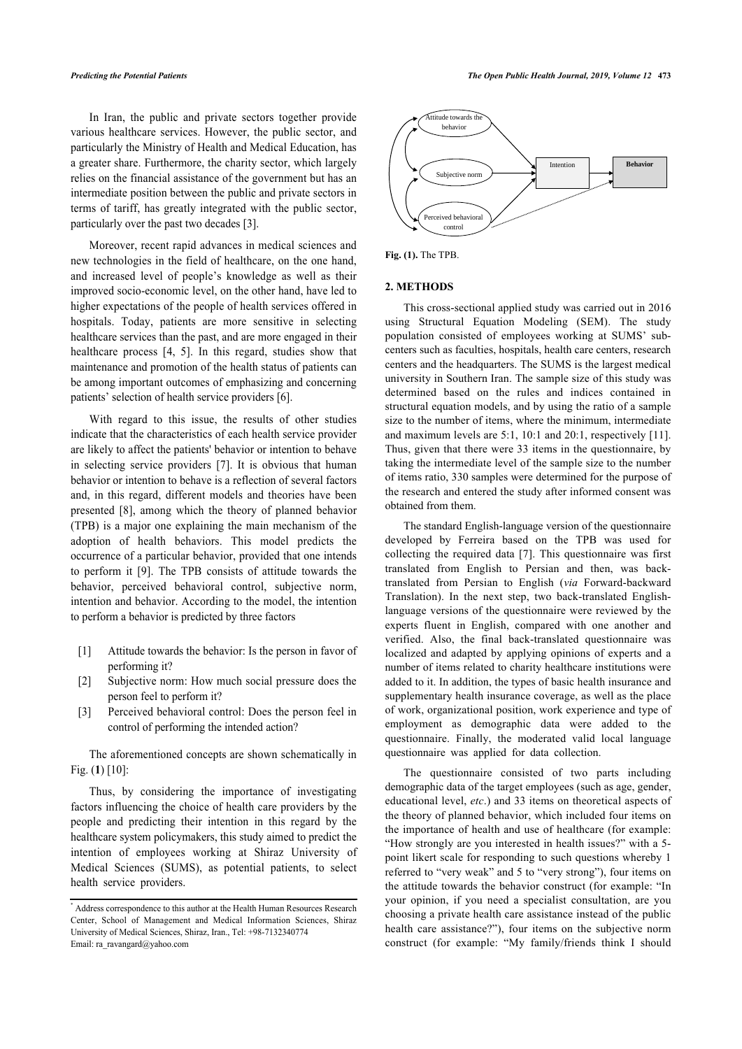In Iran, the public and private sectors together provide various healthcare services. However, the public sector, and particularly the Ministry of Health and Medical Education, has a greater share. Furthermore, the charity sector, which largely relies on the financial assistance of the government but has an intermediate position between the public and private sectors in terms of tariff, has greatly integrated with the public sector, particularly over the past two decades [\[3\]](#page-9-2).

Moreover, recent rapid advances in medical sciences and new technologies in the field of healthcare, on the one hand, and increased level of people's knowledge as well as their improved socio-economic level, on the other hand, have led to higher expectations of the people of health services offered in hospitals. Today, patients are more sensitive in selecting healthcare services than the past, and are more engaged in their healthcare process[[4](#page-9-3), [5\]](#page-9-4). In this regard, studies show that maintenance and promotion of the health status of patients can be among important outcomes of emphasizing and concerning patients' selection of health service providers [\[6\]](#page-9-5).

With regard to this issue, the results of other studies indicate that the characteristics of each health service provider are likely to affect the patients' behavior or intention to behave in selecting service providers[[7](#page-9-6)]. It is obvious that human behavior or intention to behave is a reflection of several factors and, in this regard, different models and theories have been presented[[8](#page-9-7)], among which the theory of planned behavior (TPB) is a major one explaining the main mechanism of the adoption of health behaviors. This model predicts the occurrence of a particular behavior, provided that one intends to perform it [\[9\]](#page-9-8). The TPB consists of attitude towards the behavior, perceived behavioral control, subjective norm, intention and behavior. According to the model, the intention to perform a behavior is predicted by three factors

- [1] Attitude towards the behavior: Is the person in favor of performing it?
- [2] Subjective norm: How much social pressure does the person feel to perform it?
- [3] Perceived behavioral control: Does the person feel in control of performing the intended action?

The aforementioned concepts are shown schematically in Fig. (**[1](#page--1-0)**) [[10\]](#page-9-9):

Thus, by considering the importance of investigating factors influencing the choice of health care providers by the people and predicting their intention in this regard by the healthcare system policymakers, this study aimed to predict the intention of employees working at Shiraz University of Medical Sciences (SUMS), as potential patients, to select health service providers.



**Fig. (1).** The TPB.

### **2. METHODS**

This cross-sectional applied study was carried out in 2016 using Structural Equation Modeling (SEM). The study population consisted of employees working at SUMS' subcenters such as faculties, hospitals, health care centers, research centers and the headquarters. The SUMS is the largest medical university in Southern Iran. The sample size of this study was determined based on the rules and indices contained in structural equation models, and by using the ratio of a sample size to the number of items, where the minimum, intermediate and maximum levels are 5:1, 10:1 and 20:1, respectively [\[11](#page-9-10)]. Thus, given that there were 33 items in the questionnaire, by taking the intermediate level of the sample size to the number of items ratio, 330 samples were determined for the purpose of the research and entered the study after informed consent was obtained from them.

The standard English-language version of the questionnaire developed by Ferreira based on the TPB was used for collecting the required data [[7](#page-9-6)]. This questionnaire was first translated from English to Persian and then, was backtranslated from Persian to English (*via* Forward-backward Translation). In the next step, two back-translated Englishlanguage versions of the questionnaire were reviewed by the experts fluent in English, compared with one another and verified. Also, the final back-translated questionnaire was localized and adapted by applying opinions of experts and a number of items related to charity healthcare institutions were added to it. In addition, the types of basic health insurance and supplementary health insurance coverage, as well as the place of work, organizational position, work experience and type of employment as demographic data were added to the questionnaire. Finally, the moderated valid local language questionnaire was applied for data collection.

The questionnaire consisted of two parts including demographic data of the target employees (such as age, gender, educational level, *etc*.) and 33 items on theoretical aspects of the theory of planned behavior, which included four items on the importance of health and use of healthcare (for example: "How strongly are you interested in health issues?" with a 5 point likert scale for responding to such questions whereby 1 referred to "very weak" and 5 to "very strong"), four items on the attitude towards the behavior construct (for example: "In your opinion, if you need a specialist consultation, are you choosing a private health care assistance instead of the public health care assistance?"), four items on the subjective norm construct (for example: "My family/friends think I should

<span id="page-1-0"></span><sup>\*</sup> Address correspondence to this author at the Health Human Resources Research Center, School of Management and Medical Information Sciences, Shiraz University of Medical Sciences, Shiraz, Iran., Tel: +98-7132340774 Email: [ra\\_ravangard@yahoo.com](mailto:ra_ravangard@yahoo.com)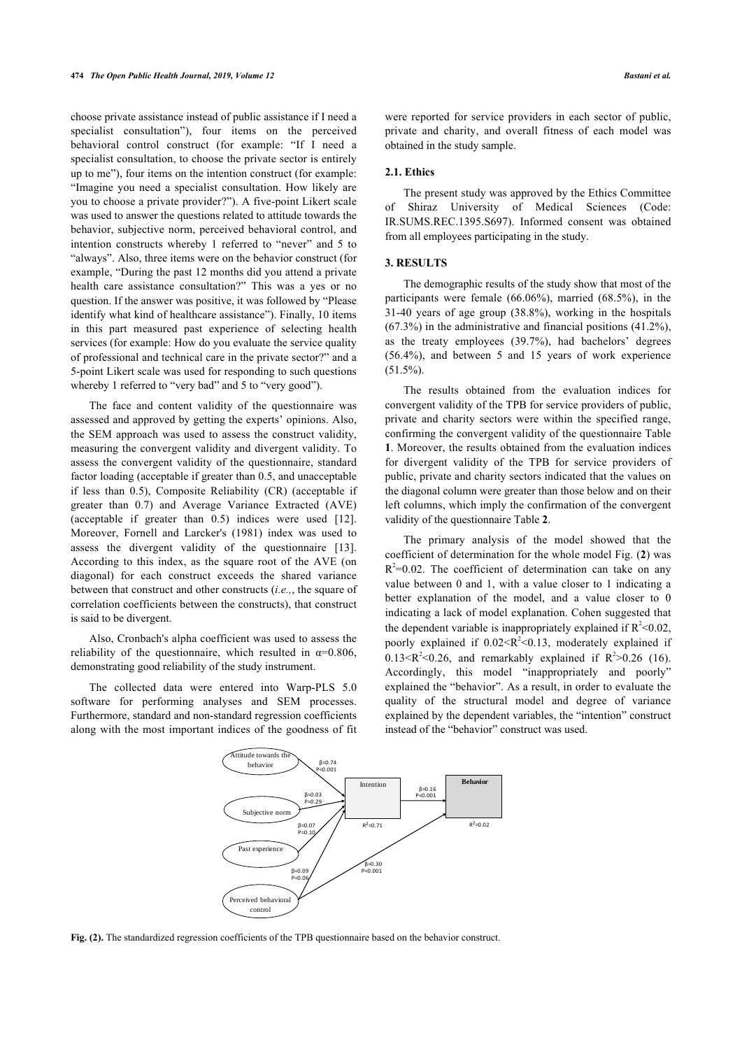choose private assistance instead of public assistance if I need a specialist consultation"), four items on the perceived behavioral control construct (for example: "If I need a specialist consultation, to choose the private sector is entirely up to me"), four items on the intention construct (for example: "Imagine you need a specialist consultation. How likely are you to choose a private provider?"). A five-point Likert scale was used to answer the questions related to attitude towards the behavior, subjective norm, perceived behavioral control, and intention constructs whereby 1 referred to "never" and 5 to "always". Also, three items were on the behavior construct (for example, "During the past 12 months did you attend a private health care assistance consultation?" This was a yes or no question. If the answer was positive, it was followed by "Please identify what kind of healthcare assistance"). Finally, 10 items in this part measured past experience of selecting health services (for example: How do you evaluate the service quality of professional and technical care in the private sector?" and a 5-point Likert scale was used for responding to such questions whereby 1 referred to "very bad" and 5 to "very good").

The face and content validity of the questionnaire was assessed and approved by getting the experts' opinions. Also, the SEM approach was used to assess the construct validity, measuring the convergent validity and divergent validity. To assess the convergent validity of the questionnaire, standard factor loading (acceptable if greater than 0.5, and unacceptable if less than 0.5), Composite Reliability (CR) (acceptable if greater than 0.7) and Average Variance Extracted (AVE) (acceptable if greater than 0.5) indices were used[[12\]](#page-9-11). Moreover, Fornell and Larcker's (1981) index was used to assess the divergent validity of the questionnaire[[13\]](#page-9-12). According to this index, as the square root of the AVE (on diagonal) for each construct exceeds the shared variance between that construct and other constructs (*i.e.,*, the square of correlation coefficients between the constructs), that construct is said to be divergent.

Also, Cronbach's alpha coefficient was used to assess the reliability of the questionnaire, which resulted in  $\alpha=0.806$ , demonstrating good reliability of the study instrument.

The collected data were entered into Warp-PLS 5.0 software for performing analyses and SEM processes. Furthermore, standard and non-standard regression coefficients along with the most important indices of the goodness of fit

were reported for service providers in each sector of public, private and charity, and overall fitness of each model was obtained in the study sample.

## **2.1. Ethics**

The present study was approved by the Ethics Committee of Shiraz University of Medical Sciences (Code: IR.SUMS.REC.1395.S697). Informed consent was obtained from all employees participating in the study.

## **3. RESULTS**

The demographic results of the study show that most of the participants were female (66.06%), married (68.5%), in the 31-40 years of age group (38.8%), working in the hospitals  $(67.3\%)$  in the administrative and financial positions  $(41.2\%)$ , as the treaty employees (39.7%), had bachelors' degrees (56.4%), and between 5 and 15 years of work experience  $(51.5\%)$ .

The results obtained from the evaluation indices for convergent validity of the TPB for service providers of public, private and charity sectors were within the specified range, confirming the convergent validity of the questionnaire Table **[1](#page--1-0)**. Moreover, the results obtained from the evaluation indices for divergent validity of the TPB for service providers of public, private and charity sectors indicated that the values on the diagonal column were greater than those below and on their left columns, which imply the confirmation of the convergent validity of the questionnaire Table **[2](#page--1-0)**.

The primary analysis of the model showed that the coefficient of determination for the whole model Fig. (**[2](#page--1-0)**) was  $R^2$ =0.02. The coefficient of determination can take on any value between 0 and 1, with a value closer to 1 indicating a better explanation of the model, and a value closer to 0 indicating a lack of model explanation. Cohen suggested that the dependent variable is inappropriately explained if  $R^2 < 0.02$ , poorly explained if  $0.02 < R^2 < 0.13$ , moderately explained if  $0.13 \leq R^2 \leq 0.26$ , and remarkably explained if  $R^2 > 0.26$  (16). Accordingly, this model "inappropriately and poorly" explained the "behavior". As a result, in order to evaluate the quality of the structural model and degree of variance explained by the dependent variables, the "intention" construct instead of the "behavior" construct was used.



**Fig. (2).** The standardized regression coefficients of the TPB questionnaire based on the behavior construct.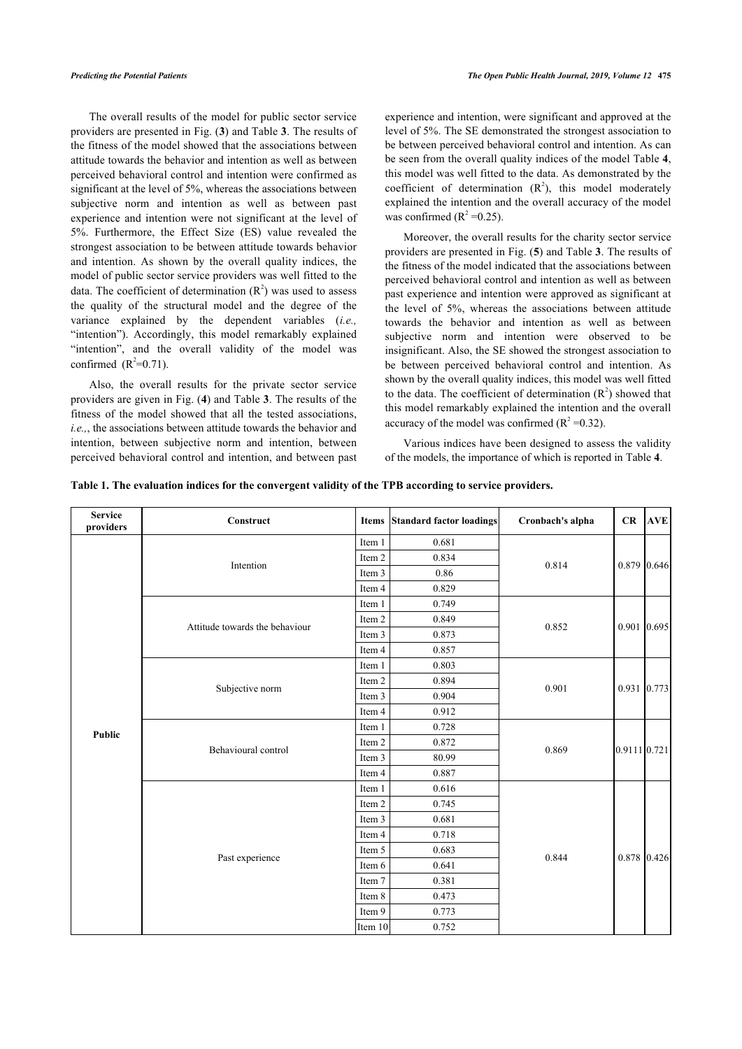The overall results of the model for public sector service providers are presented in Fig. (**[3](#page--1-0)**) and Table **[3](#page--1-0)**. The results of the fitness of the model showed that the associations between attitude towards the behavior and intention as well as between perceived behavioral control and intention were confirmed as significant at the level of 5%, whereas the associations between subjective norm and intention as well as between past experience and intention were not significant at the level of 5%. Furthermore, the Effect Size (ES) value revealed the strongest association to be between attitude towards behavior and intention. As shown by the overall quality indices, the model of public sector service providers was well fitted to the data. The coefficient of determination  $(R^2)$  was used to assess the quality of the structural model and the degree of the variance explained by the dependent variables (*i.e.,* "intention"). Accordingly, this model remarkably explained "intention", and the overall validity of the model was confirmed  $(R^2=0.71)$ .

Also, the overall results for the private sector service providers are given in Fig. (**[4](#page--1-0)**) and Table **[3](#page--1-0)**. The results of the fitness of the model showed that all the tested associations, *i.e.,*, the associations between attitude towards the behavior and intention, between subjective norm and intention, between perceived behavioral control and intention, and between past

experience and intention, were significant and approved at the level of 5%. The SE demonstrated the strongest association to be between perceived behavioral control and intention. As can be seen from the overall quality indices of the model Table **[4](#page--1-0)**, this model was well fitted to the data. As demonstrated by the coefficient of determination  $(R^2)$ , this model moderately explained the intention and the overall accuracy of the model was confirmed  $(R^2 = 0.25)$ .

Moreover, the overall results for the charity sector service providers are presented in Fig. (**[5](#page--1-0)**) and Table **[3](#page--1-0)**. The results of the fitness of the model indicated that the associations between perceived behavioral control and intention as well as between past experience and intention were approved as significant at the level of 5%, whereas the associations between attitude towards the behavior and intention as well as between subjective norm and intention were observed to be insignificant. Also, the SE showed the strongest association to be between perceived behavioral control and intention. As shown by the overall quality indices, this model was well fitted to the data. The coefficient of determination  $(R^2)$  showed that this model remarkably explained the intention and the overall accuracy of the model was confirmed  $(R^2 = 0.32)$ .

Various indices have been designed to assess the validity of the models, the importance of which is reported in Table **[4](#page--1-0)**.

| Table 1. The evaluation indices for the convergent validity of the TPB according to service providers. |  |  |  |
|--------------------------------------------------------------------------------------------------------|--|--|--|
|                                                                                                        |  |  |  |

| <b>Service</b><br>providers | Construct                      |         | <b>Items Standard factor loadings</b> | Cronbach's alpha | CR           | <b>AVE</b>    |
|-----------------------------|--------------------------------|---------|---------------------------------------|------------------|--------------|---------------|
|                             |                                | Item 1  | 0.681                                 |                  |              | $0.879$ 0.646 |
|                             | Intention                      | Item 2  | 0.834                                 | 0.814            |              |               |
|                             |                                | Item 3  | 0.86                                  |                  |              |               |
|                             |                                | Item 4  | 0.829                                 |                  |              |               |
|                             |                                | Item 1  | 0.749                                 |                  |              |               |
|                             | Attitude towards the behaviour | Item 2  | 0.849                                 | 0.852            |              |               |
|                             |                                | Item 3  | 0.873                                 |                  |              | $0.901$ 0.695 |
|                             |                                | Item 4  | 0.857                                 |                  |              |               |
|                             |                                | Item 1  | 0.803                                 |                  |              | 0.931 0.773   |
|                             | Subjective norm                | Item 2  | 0.894                                 |                  |              |               |
|                             |                                | Item 3  | 0.904                                 | 0.901            |              |               |
|                             |                                | Item 4  | 0.912                                 |                  |              |               |
| <b>Public</b>               | Behavioural control            | Item 1  | 0.728                                 | 0.869            | 0.9111 0.721 |               |
|                             |                                | Item 2  | 0.872                                 |                  |              |               |
|                             |                                | Item 3  | 80.99                                 |                  |              |               |
|                             |                                | Item 4  | 0.887                                 |                  |              |               |
|                             |                                | Item 1  | 0.616                                 |                  |              |               |
|                             |                                | Item 2  | 0.745                                 |                  |              |               |
|                             |                                | Item 3  | 0.681                                 |                  |              |               |
|                             |                                | Item 4  | 0.718                                 |                  |              |               |
|                             |                                | Item 5  | 0.683                                 |                  |              | $0.878$ 0.426 |
|                             | Past experience                | Item 6  | 0.641                                 | 0.844            |              |               |
|                             |                                | Item 7  | 0.381                                 |                  |              |               |
|                             |                                | Item 8  | 0.473                                 |                  |              |               |
|                             |                                | Item 9  | 0.773                                 |                  |              |               |
|                             |                                | Item 10 | 0.752                                 |                  |              |               |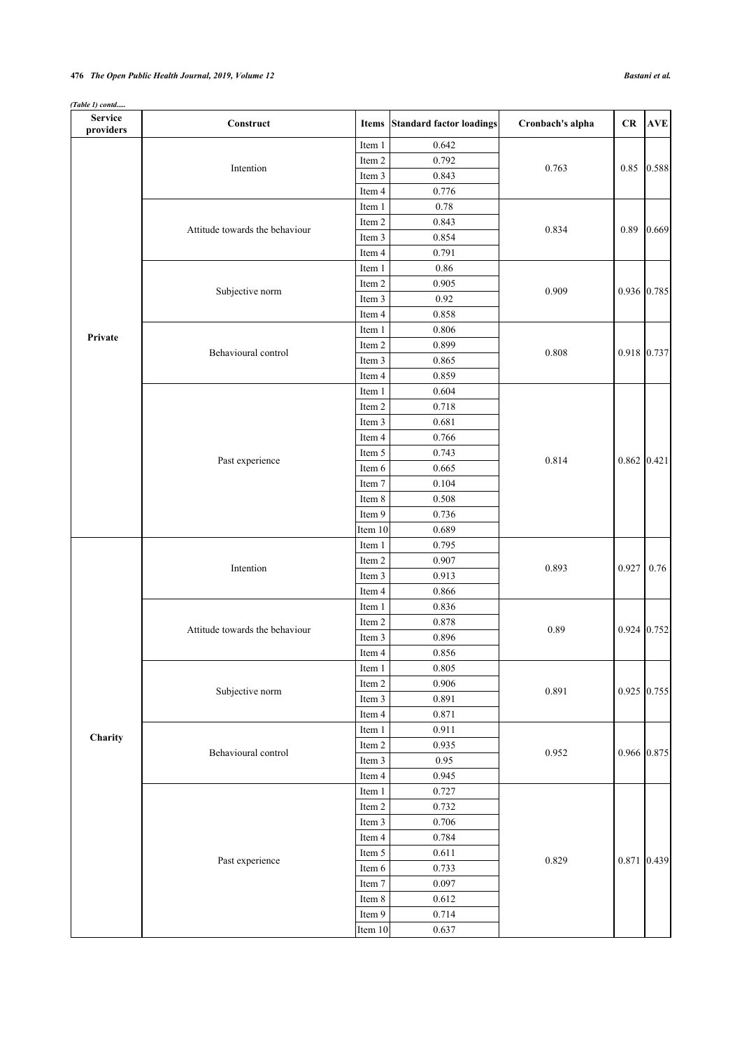## **476** *The Open Public Health Journal, 2019, Volume 12 Bastani et al.*

| (Table 1) contd |  |
|-----------------|--|
|                 |  |

| <b>Service</b><br>providers | Construct                      |                  | Items Standard factor loadings | Cronbach's alpha | CR          | <b>AVE</b>    |
|-----------------------------|--------------------------------|------------------|--------------------------------|------------------|-------------|---------------|
|                             |                                |                  | 0.642                          |                  |             |               |
|                             | Intention                      | Item 2           | 0.792                          |                  |             | $0.85$ 0.588  |
|                             |                                | Item 3           | 0.843                          | 0.763            |             |               |
|                             |                                | Item 4           | 0.776                          |                  |             |               |
|                             |                                | Item 1           | 0.78                           |                  |             |               |
|                             |                                | Item 2           | 0.843                          |                  |             |               |
|                             | Attitude towards the behaviour | Item 3           | 0.854                          | 0.834            | 0.89        | 0.669         |
|                             |                                | Item 4           | 0.791                          |                  |             |               |
|                             |                                | Item 1           | 0.86                           |                  |             |               |
|                             |                                | Item 2           | 0.905                          |                  |             |               |
|                             | Subjective norm                | Item 3           | 0.92                           | 0.909            |             | 0.936 0.785   |
|                             |                                | Item 4           | 0.858                          |                  |             |               |
|                             |                                | Item 1           | 0.806                          |                  |             |               |
| Private                     |                                | Item 2           | 0.899                          |                  |             |               |
|                             | Behavioural control            | Item 3           | 0.865                          | 0.808            |             | 0.918 0.737   |
|                             |                                | Item 4           | 0.859                          |                  |             |               |
|                             |                                | Item 1           | 0.604                          |                  |             |               |
|                             |                                | Item 2           | 0.718                          |                  |             |               |
|                             |                                | Item 3           | 0.681                          |                  |             |               |
|                             |                                | Item 4           | 0.766                          |                  |             |               |
|                             | Past experience                | Item 5           | 0.743                          |                  |             |               |
|                             |                                | Item 6           | 0.665                          | 0.814            |             | $0.862$ 0.421 |
|                             |                                | Item 7           | 0.104                          |                  |             |               |
|                             |                                | Item 8           | 0.508                          |                  |             |               |
|                             |                                | Item 9           | 0.736                          |                  |             |               |
|                             |                                | Item 10          | 0.689                          |                  |             |               |
|                             |                                | Item 1           | 0.795                          |                  |             |               |
|                             |                                | Item 2           | 0.907                          | 0.893            |             |               |
|                             | Intention                      | Item 3           | 0.913                          |                  | 0.927       | 0.76          |
|                             |                                |                  | 0.866                          |                  |             |               |
|                             |                                | Item 4           | 0.836                          |                  |             |               |
|                             |                                | Item 1<br>Item 2 | 0.878                          |                  |             |               |
|                             | Attitude towards the behaviour | Item 3           | 0.896                          | 0.89             |             | $0.924$ 0.752 |
|                             |                                |                  |                                |                  |             |               |
|                             |                                | Item 4           | 0.856                          |                  |             |               |
|                             |                                | Item 1           | 0.805                          |                  |             |               |
|                             | Subjective norm                | Item 2           | 0.906                          | 0.891            | 0.925 0.755 |               |
|                             |                                | Item 3           | 0.891                          |                  |             |               |
|                             |                                | Item 4           | 0.871                          |                  |             |               |
| Charity                     |                                | Item 1           | 0.911                          |                  |             |               |
|                             | Behavioural control            | Item 2           | 0.935                          | 0.952            | 0.966 0.875 |               |
|                             |                                | Item 3           | 0.95                           |                  |             |               |
|                             |                                | Item 4           | 0.945                          |                  |             |               |
|                             |                                | Item 1           | 0.727                          |                  |             |               |
|                             |                                | Item 2           | 0.732                          |                  |             |               |
|                             |                                | Item 3           | 0.706                          |                  |             |               |
|                             |                                | Item 4           | 0.784                          |                  |             |               |
|                             | Past experience                | Item 5           | 0.611                          | 0.829            | 0.871 0.439 |               |
|                             |                                | Item 6           | 0.733                          |                  |             |               |
|                             |                                | Item 7           | 0.097                          |                  |             |               |
|                             |                                | Item 8           | 0.612                          |                  |             |               |
|                             |                                | Item 9           | 0.714                          |                  |             |               |
|                             |                                | Item 10          | 0.637                          |                  |             |               |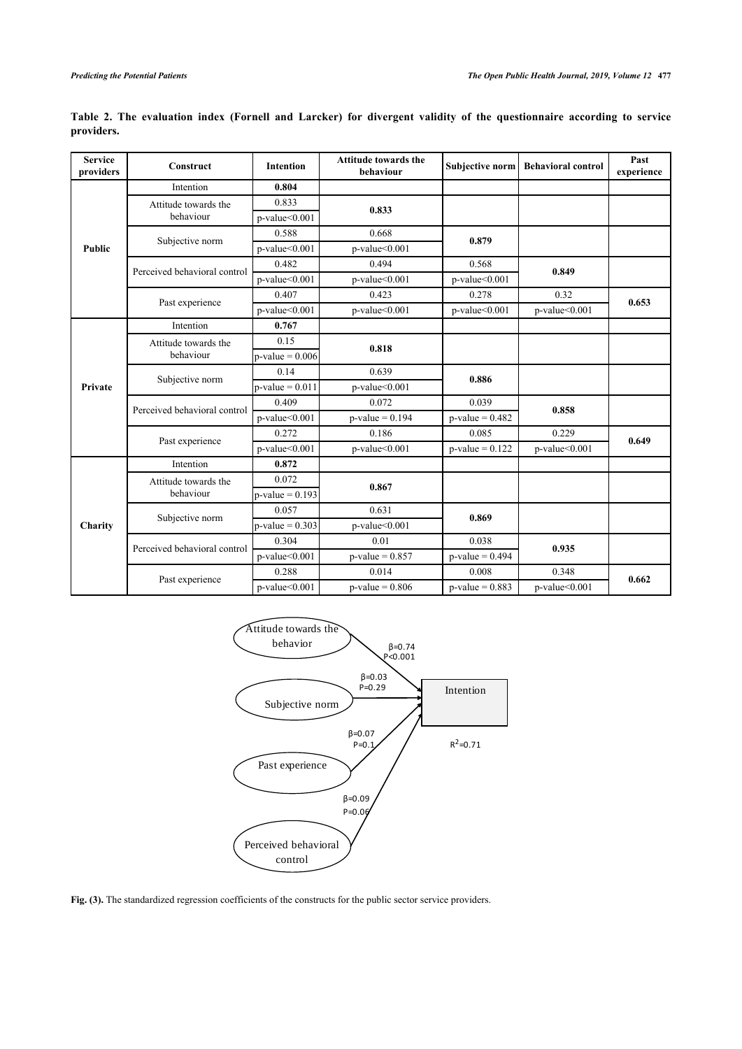| <b>Service</b><br>providers | Construct                    | <b>Intention</b>    | <b>Attitude towards the</b><br>behaviour | Subjective norm     | <b>Behavioral control</b> | Past<br>experience |
|-----------------------------|------------------------------|---------------------|------------------------------------------|---------------------|---------------------------|--------------------|
|                             | Intention                    | 0.804               |                                          |                     |                           |                    |
|                             | Attitude towards the         | 0.833               | 0.833                                    |                     |                           |                    |
|                             | behaviour                    | p-value<0.001       |                                          |                     |                           |                    |
|                             | Subjective norm              | 0.588               | 0.668                                    | 0.879               |                           |                    |
| <b>Public</b>               |                              | $p$ -value< $0.001$ | $p$ -value< $0.001$                      |                     |                           |                    |
|                             | Perceived behavioral control | 0.482               | 0.494                                    | 0.568               | 0.849                     |                    |
|                             |                              | $p$ -value< $0.001$ | $p$ -value< $0.001$                      | $p$ -value< $0.001$ |                           |                    |
|                             | Past experience              | 0.407               | 0.423                                    | 0.278               | 0.32                      | 0.653              |
|                             |                              | $p$ -value< $0.001$ | $p$ -value< $0.001$                      | $p$ -value< $0.001$ | p-value<0.001             |                    |
|                             | Intention                    | 0.767               |                                          |                     |                           |                    |
| Private                     | Attitude towards the         | 0.15                | 0.818                                    |                     |                           |                    |
|                             | behaviour                    | $p-value = 0.006$   |                                          |                     |                           |                    |
|                             | Subjective norm              | 0.14                | 0.639                                    | 0.886               |                           |                    |
|                             |                              | $p-value = 0.011$   | $p$ -value< $0.001$                      |                     |                           |                    |
|                             | Perceived behavioral control | 0.409               | 0.072                                    | 0.039               | 0.858                     |                    |
|                             |                              | $p$ -value< $0.001$ | $p-value = 0.194$                        | $p$ -value = 0.482  |                           |                    |
|                             | Past experience              | 0.272               | 0.186                                    | 0.085               | 0.229                     | 0.649              |
|                             |                              | $p$ -value< $0.001$ | $p$ -value< $0.001$                      | $p$ -value = 0.122  | $p$ -value< $0.001$       |                    |
|                             | Intention                    | 0.872               |                                          |                     |                           |                    |
|                             | Attitude towards the         | 0.072               | 0.867                                    |                     |                           |                    |
|                             | behaviour                    | $p-value = 0.193$   |                                          |                     |                           |                    |
|                             | Subjective norm              | 0.057               | 0.631                                    | 0.869               |                           |                    |
| Charity                     |                              | $p-value = 0.303$   | p-value<0.001                            |                     |                           |                    |
|                             | Perceived behavioral control | 0.304               | 0.01                                     | 0.038               | 0.935                     |                    |
|                             |                              | $p$ -value< $0.001$ | $p$ -value = 0.857                       | $p$ -value = 0.494  |                           |                    |
|                             | Past experience              | 0.288               | 0.014                                    | 0.008               | 0.348                     | 0.662              |
|                             |                              | $p$ -value< $0.001$ | $p-value = 0.806$                        | $p$ -value = 0.883  | $p$ -value< $0.001$       |                    |

**Table 2. The evaluation index (Fornell and Larcker) for divergent validity of the questionnaire according to service providers.**



Fig. (3). The standardized regression coefficients of the constructs for the public sector service providers.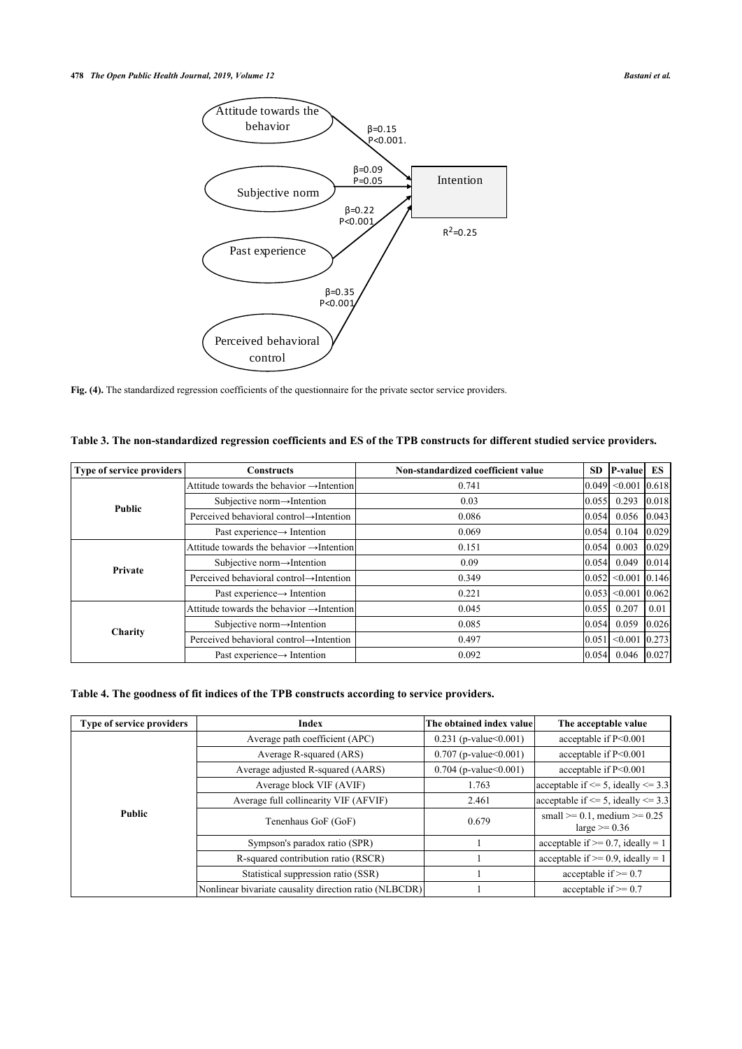

Fig. (4). The standardized regression coefficients of the questionnaire for the private sector service providers.

| <b>Type of service providers</b> | <b>Constructs</b>                                     | Non-standardized coefficient value | <b>SD</b> | <b>P-value</b> ES           |       |
|----------------------------------|-------------------------------------------------------|------------------------------------|-----------|-----------------------------|-------|
|                                  | Attitude towards the behavior $\rightarrow$ Intention | 0.741                              |           | 0.049  <0.001  0.618        |       |
| <b>Public</b>                    | Subjective norm $\rightarrow$ Intention               | 0.03                               | 0.055     | 0.293                       | 0.018 |
|                                  | Perceived behavioral control→Intention                | 0.086                              | 0.054     | 0.056                       | 0.043 |
|                                  | Past experience $\rightarrow$ Intention               | 0.069                              | 0.054     | 0.104                       | 0.029 |
|                                  | Attitude towards the behavior $\rightarrow$ Intention | 0.151                              | 0.054     | 0.003                       | 0.029 |
| Private                          | Subjective norm $\rightarrow$ Intention               | 0.09                               | 0.054     | 0.049                       | 0.014 |
|                                  | Perceived behavioral control→Intention                | 0.349                              |           | 0.052  <0.001  0.146        |       |
|                                  | Past experience $\rightarrow$ Intention               | 0.221                              |           | $ 0.053 $ < 0.001 $ 0.062 $ |       |
| <b>Charity</b>                   | Attitude towards the behavior $\rightarrow$ Intention | 0.045                              | 0.055     | 0.207                       | 0.01  |
|                                  | Subjective norm $\rightarrow$ Intention               | 0.085                              | 0.054     | 0.059                       | 0.026 |
|                                  | Perceived behavioral control→Intention                | 0.497                              |           | 0.051 < 0.001 0.273         |       |
|                                  | Past experience $\rightarrow$ Intention               | 0.092                              | 0.054     | $0.046$ 0.027               |       |

**Table 3. The non-standardized regression coefficients and ES of the TPB constructs for different studied service providers.**

## **Table 4. The goodness of fit indices of the TPB constructs according to service providers.**

| Type of service providers | Index                                                  | The obtained index valuel  | The acceptable value                                    |
|---------------------------|--------------------------------------------------------|----------------------------|---------------------------------------------------------|
|                           | Average path coefficient (APC)                         | $0.231$ (p-value $0.001$ ) | acceptable if P<0.001                                   |
|                           | Average R-squared (ARS)                                | $0.707$ (p-value $0.001$ ) | acceptable if P<0.001                                   |
|                           | Average adjusted R-squared (AARS)                      | $0.704$ (p-value $0.001$ ) | acceptable if P<0.001                                   |
| <b>Public</b>             | Average block VIF (AVIF)                               | 1.763                      | $ acceptable $ if $\leq$ 5, ideally $\leq$ 3.3          |
|                           | Average full collinearity VIF (AFVIF)                  | 2.461                      | acceptable if $\leq$ 5, ideally $\leq$ 3.3              |
|                           | Tenenhaus GoF (GoF)                                    | 0.679                      | small $>= 0.1$ , medium $>= 0.25$<br>large $\ge$ = 0.36 |
|                           | Sympson's paradox ratio (SPR)                          |                            | acceptable if $\geq$ 0.7, ideally = 1                   |
|                           | R-squared contribution ratio (RSCR)                    |                            | acceptable if $>= 0.9$ , ideally = 1                    |
|                           | Statistical suppression ratio (SSR)                    |                            | acceptable if $\geq 0.7$                                |
|                           | Nonlinear bivariate causality direction ratio (NLBCDR) |                            | acceptable if $\geq 0.7$                                |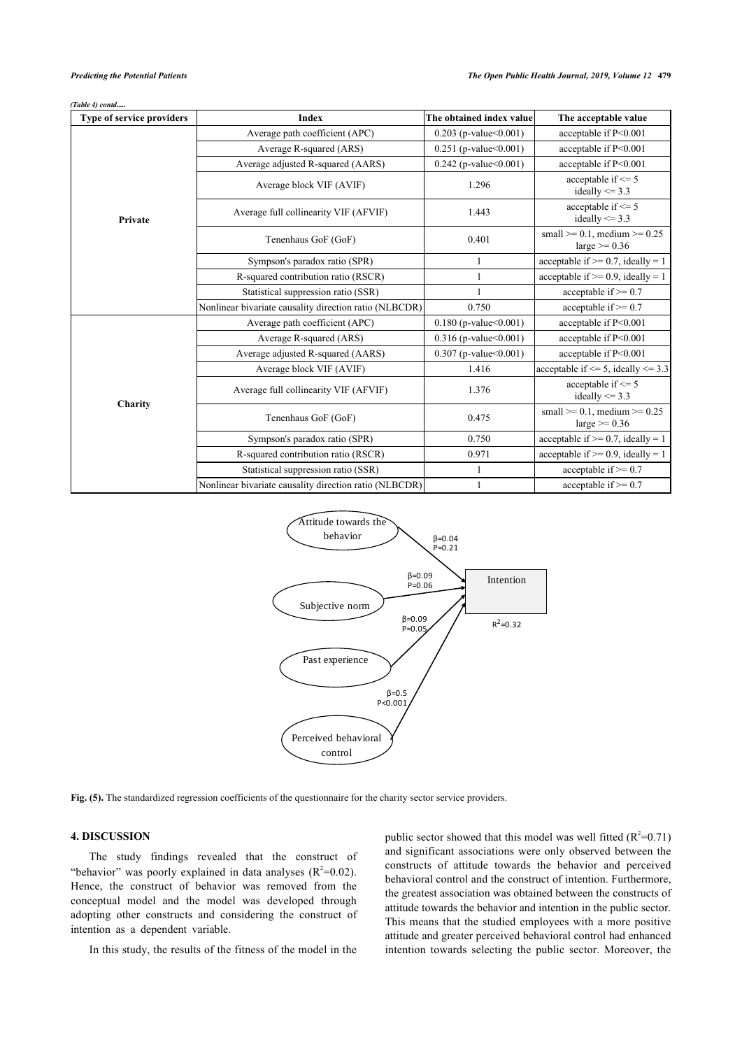|  | (Table 4) contd |
|--|-----------------|
|--|-----------------|

| Type of service providers | <b>Index</b>                                           | The obtained index value   | The acceptable value                                        |
|---------------------------|--------------------------------------------------------|----------------------------|-------------------------------------------------------------|
|                           | Average path coefficient (APC)                         | $0.203$ (p-value $0.001$ ) | acceptable if P<0.001                                       |
|                           | Average R-squared (ARS)                                | $0.251$ (p-value $0.001$ ) | acceptable if P<0.001                                       |
|                           | Average adjusted R-squared (AARS)                      | $0.242$ (p-value $0.001$ ) | acceptable if P<0.001                                       |
|                           | Average block VIF (AVIF)                               | 1.296                      | acceptable if $\leq$ 5<br>ideally $\leq$ 3.3                |
| Private                   | Average full collinearity VIF (AFVIF)                  | 1.443                      | acceptable if $\leq$ 5<br>ideally $\leq$ 3.3                |
|                           | Tenenhaus GoF (GoF)                                    | 0.401                      | small $\geq 0.1$ , medium $\geq 0.25$<br>large $\ge$ = 0.36 |
|                           | Sympson's paradox ratio (SPR)                          |                            | acceptable if $\geq$ 0.7, ideally = 1                       |
|                           | R-squared contribution ratio (RSCR)                    |                            | acceptable if $\geq$ 0.9, ideally = 1                       |
|                           | Statistical suppression ratio (SSR)                    |                            | acceptable if $\geq 0.7$                                    |
|                           | Nonlinear bivariate causality direction ratio (NLBCDR) | 0.750                      | acceptable if $\geq 0.7$                                    |
|                           | Average path coefficient (APC)                         | $0.180$ (p-value $0.001$ ) | acceptable if $P<0.001$                                     |
|                           | Average R-squared (ARS)                                | $0.316$ (p-value $0.001$ ) | acceptable if P<0.001                                       |
|                           | Average adjusted R-squared (AARS)                      | 0.307 (p-value<0.001)      | acceptable if P<0.001                                       |
|                           | Average block VIF (AVIF)                               | 1.416                      | acceptable if $\leq$ 5, ideally $\leq$ 3.3                  |
| Charity                   | Average full collinearity VIF (AFVIF)                  | 1.376                      | acceptable if $\leq$ 5<br>ideally $\leq$ 3.3                |
|                           | Tenenhaus GoF (GoF)                                    | 0.475                      | small $>= 0.1$ , medium $>= 0.25$<br>large $\ge$ = 0.36     |
|                           | Sympson's paradox ratio (SPR)                          | 0.750                      | acceptable if $>= 0.7$ , ideally = 1                        |
|                           | R-squared contribution ratio (RSCR)                    | 0.971                      | acceptable if $>= 0.9$ , ideally = 1                        |
|                           | Statistical suppression ratio (SSR)                    |                            | acceptable if $\geq 0.7$                                    |
|                           | Nonlinear bivariate causality direction ratio (NLBCDR) |                            | acceptable if $\geq 0.7$                                    |



**Fig. (5).** The standardized regression coefficients of the questionnaire for the charity sector service providers.

## **4. DISCUSSION**

The study findings revealed that the construct of "behavior" was poorly explained in data analyses  $(R^2=0.02)$ . Hence, the construct of behavior was removed from the conceptual model and the model was developed through adopting other constructs and considering the construct of intention as a dependent variable.

In this study, the results of the fitness of the model in the

public sector showed that this model was well fitted  $(R^2=0.71)$ and significant associations were only observed between the constructs of attitude towards the behavior and perceived behavioral control and the construct of intention. Furthermore, the greatest association was obtained between the constructs of attitude towards the behavior and intention in the public sector. This means that the studied employees with a more positive attitude and greater perceived behavioral control had enhanced intention towards selecting the public sector. Moreover, the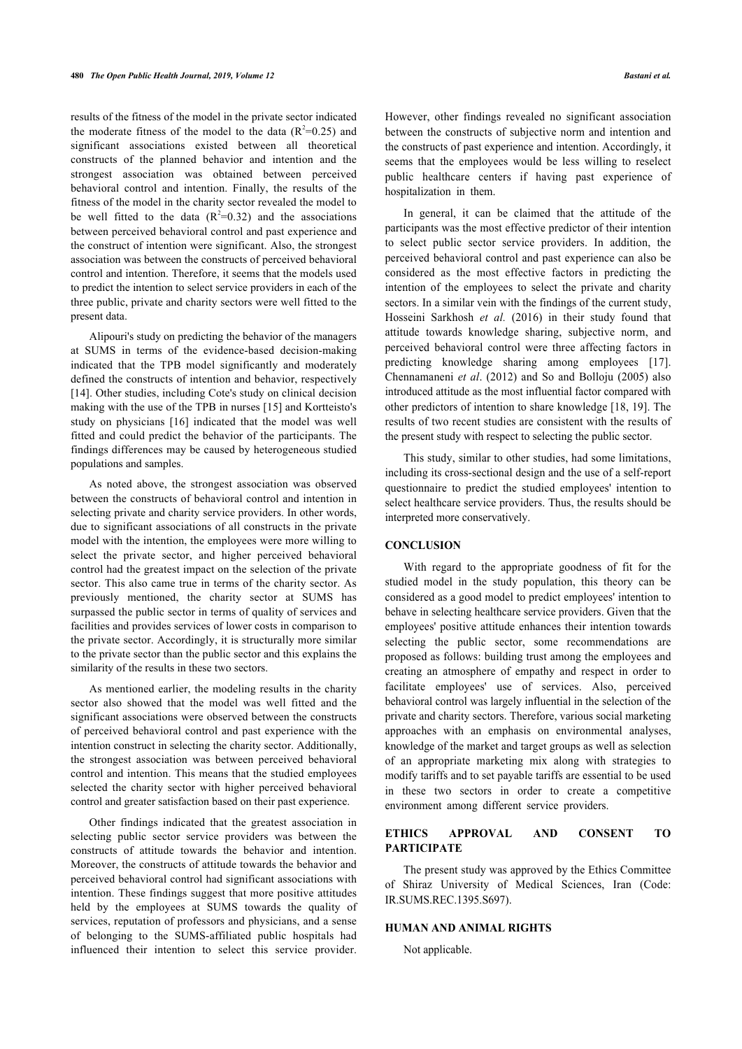results of the fitness of the model in the private sector indicated the moderate fitness of the model to the data  $(R^2=0.25)$  and significant associations existed between all theoretical constructs of the planned behavior and intention and the strongest association was obtained between perceived behavioral control and intention. Finally, the results of the fitness of the model in the charity sector revealed the model to be well fitted to the data  $(R^2=0.32)$  and the associations between perceived behavioral control and past experience and the construct of intention were significant. Also, the strongest association was between the constructs of perceived behavioral control and intention. Therefore, it seems that the models used to predict the intention to select service providers in each of the three public, private and charity sectors were well fitted to the present data.

Alipouri's study on predicting the behavior of the managers at SUMS in terms of the evidence-based decision-making indicated that the TPB model significantly and moderately defined the constructs of intention and behavior, respectively [[14\]](#page-9-13). Other studies, including Cote's study on clinical decision making with the use of the TPB in nurses [\[15](#page-9-14)] and Kortteisto's study on physicians [\[16](#page-9-15)] indicated that the model was well fitted and could predict the behavior of the participants. The findings differences may be caused by heterogeneous studied populations and samples.

As noted above, the strongest association was observed between the constructs of behavioral control and intention in selecting private and charity service providers. In other words, due to significant associations of all constructs in the private model with the intention, the employees were more willing to select the private sector, and higher perceived behavioral control had the greatest impact on the selection of the private sector. This also came true in terms of the charity sector. As previously mentioned, the charity sector at SUMS has surpassed the public sector in terms of quality of services and facilities and provides services of lower costs in comparison to the private sector. Accordingly, it is structurally more similar to the private sector than the public sector and this explains the similarity of the results in these two sectors.

As mentioned earlier, the modeling results in the charity sector also showed that the model was well fitted and the significant associations were observed between the constructs of perceived behavioral control and past experience with the intention construct in selecting the charity sector. Additionally, the strongest association was between perceived behavioral control and intention. This means that the studied employees selected the charity sector with higher perceived behavioral control and greater satisfaction based on their past experience.

Other findings indicated that the greatest association in selecting public sector service providers was between the constructs of attitude towards the behavior and intention. Moreover, the constructs of attitude towards the behavior and perceived behavioral control had significant associations with intention. These findings suggest that more positive attitudes held by the employees at SUMS towards the quality of services, reputation of professors and physicians, and a sense of belonging to the SUMS-affiliated public hospitals had influenced their intention to select this service provider.

However, other findings revealed no significant association between the constructs of subjective norm and intention and the constructs of past experience and intention. Accordingly, it seems that the employees would be less willing to reselect public healthcare centers if having past experience of hospitalization in them.

In general, it can be claimed that the attitude of the participants was the most effective predictor of their intention to select public sector service providers. In addition, the perceived behavioral control and past experience can also be considered as the most effective factors in predicting the intention of the employees to select the private and charity sectors. In a similar vein with the findings of the current study, Hosseini Sarkhosh *et al.* (2016) in their study found that attitude towards knowledge sharing, subjective norm, and perceived behavioral control were three affecting factors in predicting knowledge sharing among employees[[17](#page-9-16)]. Chennamaneni *et al*. (2012) and So and Bolloju (2005) also introduced attitude as the most influential factor compared with other predictors of intention to share knowledge [\[18](#page-9-17), [19](#page-9-18)]. The results of two recent studies are consistent with the results of the present study with respect to selecting the public sector.

This study, similar to other studies, had some limitations, including its cross-sectional design and the use of a self-report questionnaire to predict the studied employees' intention to select healthcare service providers. Thus, the results should be interpreted more conservatively.

## **CONCLUSION**

With regard to the appropriate goodness of fit for the studied model in the study population, this theory can be considered as a good model to predict employees' intention to behave in selecting healthcare service providers. Given that the employees' positive attitude enhances their intention towards selecting the public sector, some recommendations are proposed as follows: building trust among the employees and creating an atmosphere of empathy and respect in order to facilitate employees' use of services. Also, perceived behavioral control was largely influential in the selection of the private and charity sectors. Therefore, various social marketing approaches with an emphasis on environmental analyses, knowledge of the market and target groups as well as selection of an appropriate marketing mix along with strategies to modify tariffs and to set payable tariffs are essential to be used in these two sectors in order to create a competitive environment among different service providers.

## **ETHICS APPROVAL AND CONSENT TO PARTICIPATE**

The present study was approved by the Ethics Committee of Shiraz University of Medical Sciences, Iran (Code: IR.SUMS.REC.1395.S697).

## **HUMAN AND ANIMAL RIGHTS**

Not applicable.